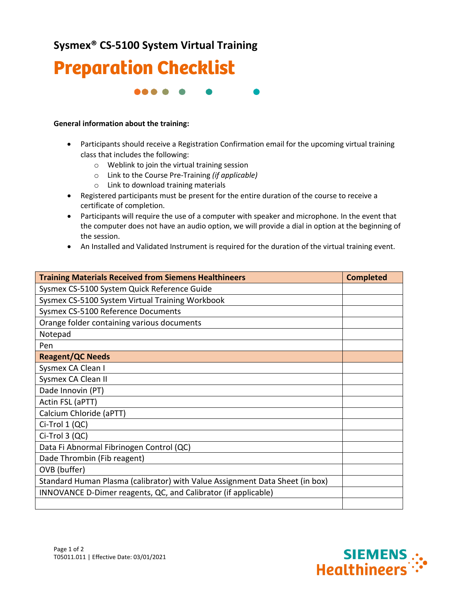## **Sysmex® CS-5100 System Virtual Training**



88 S S

## **General information about the training:**

- Participants should receive a Registration Confirmation email for the upcoming virtual training class that includes the following:
	- o Weblink to join the virtual training session
	- o Link to the Course Pre-Training *(if applicable)*
	- o Link to download training materials
- Registered participants must be present for the entire duration of the course to receive a certificate of completion.
- Participants will require the use of a computer with speaker and microphone. In the event that the computer does not have an audio option, we will provide a dial in option at the beginning of the session.
- An Installed and Validated Instrument is required for the duration of the virtual training event.

| <b>Training Materials Received from Siemens Healthineers</b>                 | <b>Completed</b> |
|------------------------------------------------------------------------------|------------------|
| Sysmex CS-5100 System Quick Reference Guide                                  |                  |
| Sysmex CS-5100 System Virtual Training Workbook                              |                  |
| Sysmex CS-5100 Reference Documents                                           |                  |
| Orange folder containing various documents                                   |                  |
| Notepad                                                                      |                  |
| Pen                                                                          |                  |
| <b>Reagent/QC Needs</b>                                                      |                  |
| Sysmex CA Clean I                                                            |                  |
| Sysmex CA Clean II                                                           |                  |
| Dade Innovin (PT)                                                            |                  |
| Actin FSL (aPTT)                                                             |                  |
| Calcium Chloride (aPTT)                                                      |                  |
| Ci-Trol 1 (QC)                                                               |                  |
| Ci-Trol 3 (QC)                                                               |                  |
| Data Fi Abnormal Fibrinogen Control (QC)                                     |                  |
| Dade Thrombin (Fib reagent)                                                  |                  |
| OVB (buffer)                                                                 |                  |
| Standard Human Plasma (calibrator) with Value Assignment Data Sheet (in box) |                  |
| INNOVANCE D-Dimer reagents, QC, and Calibrator (if applicable)               |                  |
|                                                                              |                  |